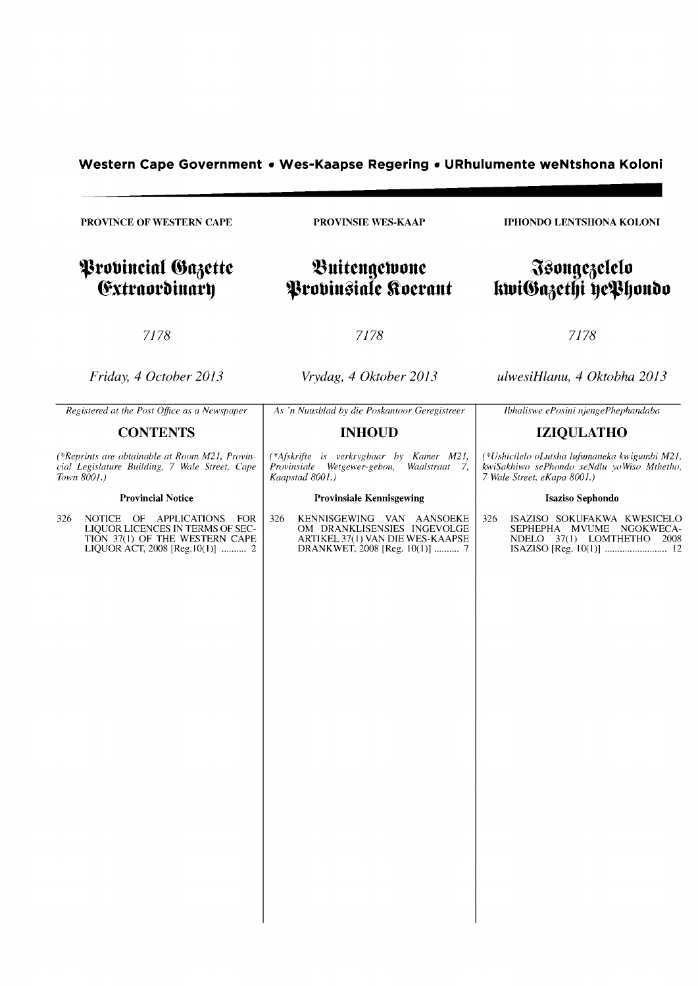| <b>PROVINCE OF WESTERN CAPE</b>                                                                                                                | <b>PROVINSIE WES-KAAP</b>                                                                                                             | <b>IPHONDO LENTSHONA KOLONI</b>                                                                                            |
|------------------------------------------------------------------------------------------------------------------------------------------------|---------------------------------------------------------------------------------------------------------------------------------------|----------------------------------------------------------------------------------------------------------------------------|
| Provincial Gazette<br><b>Extraordinary</b>                                                                                                     | Buitengewone<br>Provinsiale Koerant                                                                                                   | Tsongezelelo<br>kwiGazethi yePhondo                                                                                        |
| 7178                                                                                                                                           | 7178                                                                                                                                  | 7178                                                                                                                       |
| Friday, 4 October 2013                                                                                                                         | Vrydag, 4 Oktober 2013                                                                                                                | ulwesiHlanu, 4 Oktobha 2013                                                                                                |
| Registered at the Post Office as a Newspaper                                                                                                   | As 'n Nuusblad by die Poskantoor Geregistreer                                                                                         | Ibhaliswe ePosini njengePhephandaba                                                                                        |
| <b>CONTENTS</b>                                                                                                                                | <b>INHOUD</b>                                                                                                                         | <b>IZIQULATHO</b>                                                                                                          |
| (*Reprints are obtainable at Room M21, Provin-<br>cial Legislature Building, 7 Wale Street, Cape<br>Town 8001.)                                | (*Afskrifte is verkrygbaar by Kamer M21,<br>Wetgewer-gebou,<br>Provinsiale<br>Waalstraat 7,<br>Kaapstad 8001.)                        | (*Ushicilelo oLutsha lufumaneka kwigumbi M21,<br>kwiSakhiwo sePhondo seNdlu yoWiso Mthetho,<br>7 Wale Street, eKapa 8001.) |
| <b>Provincial Notice</b>                                                                                                                       | <b>Provinsiale Kennisgewing</b>                                                                                                       | <b>Isaziso Sephondo</b>                                                                                                    |
| NOTICE OF APPLICATIONS<br>326.<br>FOR<br>LIQUOR LICENCES IN TERMS OF SEC-<br>TION 37(1) OF THE WESTERN CAPE<br>LIQUOR ACT, 2008 [Reg.10(1)]  2 | 326<br>KENNISGEWING VAN AANSOEKE<br>OM DRANKLISENSIES INGEVOLGE<br>ARTIKEL 37(1) VAN DIE WES-KAAPSE<br>DRANKWET, 2008 [Reg. 10(1)]  7 | 326<br>ISAZISO SOKUFAKWA KWESICELO<br>SEPHEPHA MVUME NGOKWECA-<br>NDELO 37(1) LOMTHETHO<br>2008                            |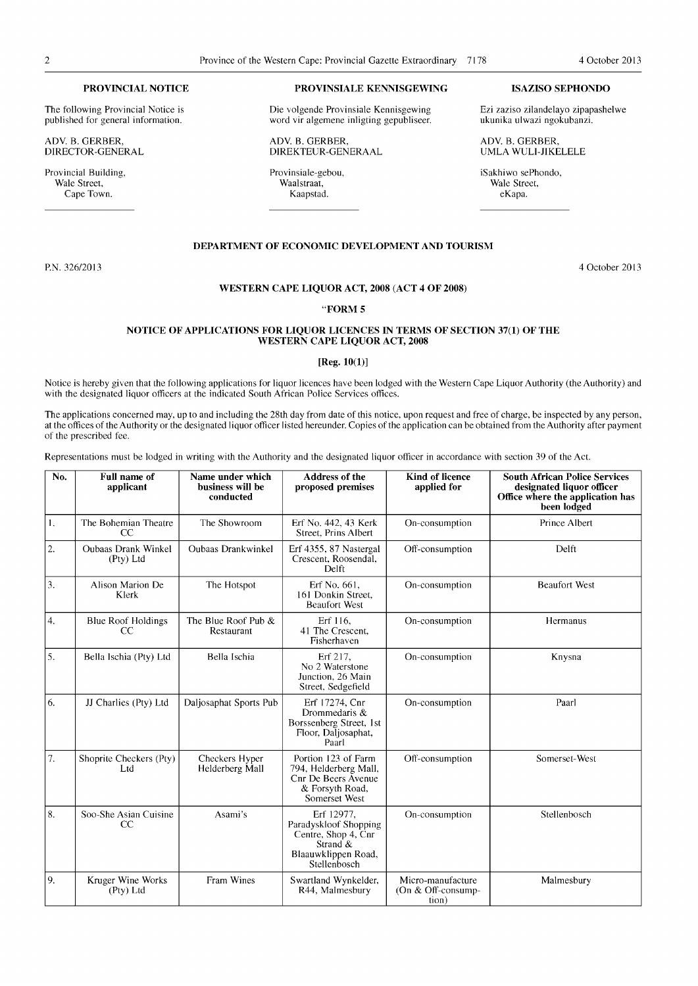The following Provincial Notice is published for general information.

ADY. B. GERBER, DIRECTOR-GENERAL

Provincial Building, Wale Street, Cape Town.

# PROVINCIAL NOTICE PROVINSIALE KENNISGEWING ISAZISO SEPHONDO

Die volgende Provinsiale Kennisgewing word vir algemene inligting gepubliseer.

ADY. B. GERBER, DIREKTEUR-GENERAAL

Provinsiale-gebou, Waalstraat, Kaapstad.

Ezi zaziso zilandelayo zipapashelwe ukunika ulwazi ngokubanzi.

ADY. B. GERBER, UMLA WULI-JIKELELE

iSakhiwo sePhondo, Wale Street, eKapa.

### DEPARTMENT OF ECONOMIC DEVELOPMENT AND TOURISM

P.N.326/2013

# WESTERN CAPE LIQUOR ACT, 2008 (ACT 4 OF 2008)

#### "FORMS

#### NOTICE OF APPLICATIONS FOR LIQUOR LICENCES IN TERMS OF SECTION 37(1) OF THE WESTERN CAPE LIQUOR ACT, 2008

#### $[Reg. 10(1)]$

Notice is hereby given that the following applications for liquor licences have been lodged with the Western Cape Liquor Authority (the Authority) and with the designated liquor officers at the indicated South African Police Services offices.

The applications concerned may, up to and including the 28th day from date of this notice, upon request and free of charge, be inspected by any person, at the offices ofthe Authority or the designated liquor officer listed hereunder. Copies ofthe application can be obtained from the Authority after payment of the prescribed fee.

Representations must be lodged in writing with the Authority and the designated liquor officer in accordance with section 39 of the Act.

| No.              | <b>Full name of</b><br>applicant        | Name under which<br>business will be<br>conducted | <b>Address of the</b><br>proposed premises                                                                       | Kind of licence<br>applied for                   | <b>South African Police Services</b><br>designated liquor officer<br>Office where the application has<br>been lodged |
|------------------|-----------------------------------------|---------------------------------------------------|------------------------------------------------------------------------------------------------------------------|--------------------------------------------------|----------------------------------------------------------------------------------------------------------------------|
| 1.               | The Bohemian Theatre<br>CC              | The Showroom                                      | Erf No. 442, 43 Kerk<br>Street, Prins Albert                                                                     | On-consumption                                   | Prince Albert                                                                                                        |
| $\overline{2}$ . | <b>Oubaas Drank Winkel</b><br>(Pty) Ltd | Oubaas Drankwinkel                                | Erf 4355, 87 Nastergal<br>Crescent, Roosendal,<br><b>Delft</b>                                                   | Off-consumption                                  | Delft                                                                                                                |
| 3.               | Alison Marion De<br>Klerk               | The Hotspot                                       | Erf No. 661.<br>161 Donkin Street,<br><b>Beaufort West</b>                                                       | On-consumption                                   | <b>Beaufort West</b>                                                                                                 |
| $\overline{4}$   | <b>Blue Roof Holdings</b><br>CC         | The Blue Roof Pub &<br>Restaurant                 | Erf 116.<br>41 The Crescent,<br>Fisherhaven                                                                      | On-consumption                                   | Hermanus                                                                                                             |
| 5.               | Bella Ischia (Pty) Ltd                  | Bella Ischia                                      | Erf 217,<br>No 2 Waterstone<br>Junction, 26 Main<br>Street, Sedgefield                                           | On-consumption                                   | Knysna                                                                                                               |
| 6.               | JJ Charlies (Pty) Ltd                   | Daljosaphat Sports Pub                            | Erf 17274, Cnr<br>Drommedaris &<br>Borssenberg Street, 1st<br>Floor, Daljosaphat,<br>Paarl                       | On-consumption                                   | Paarl                                                                                                                |
| $\overline{7}$ . | Shoprite Checkers (Pty)<br>Ltd          | Checkers Hyper<br>Helderberg Mall                 | Portion 123 of Farm<br>794, Helderberg Mall,<br>Cnr De Beers Avenue<br>& Forsyth Road,<br>Somerset West          | Off-consumption                                  | Somerset-West                                                                                                        |
| 8.               | Soo-She Asian Cuisine<br>CC             | Asami's                                           | Erf 12977.<br>Paradyskloof Shopping<br>Centre, Shop 4, Cnr<br>Strand $\&$<br>Blaauwklippen Road,<br>Stellenbosch | On-consumption                                   | Stellenbosch                                                                                                         |
| 9.               | Kruger Wine Works<br>(Pty) Ltd          | Fram Wines                                        | Swartland Wynkelder,<br>R44, Malmesbury                                                                          | Micro-manufacture<br>(On & Off-consump-<br>tion) | Malmesbury                                                                                                           |

4 October 2013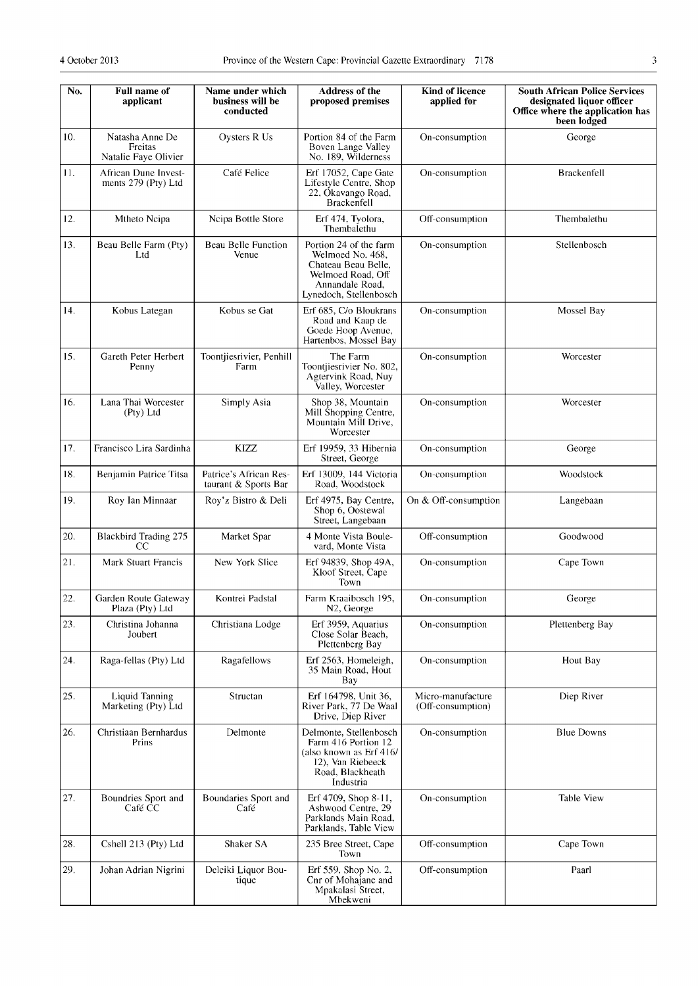| No. | <b>Full name of</b><br>applicant                   | Name under which<br>business will be<br>conducted | Address of the<br>proposed premises                                                                                                 | Kind of licence<br>applied for         | <b>South African Police Services</b><br>designated liquor officer<br>Office where the application has<br>been lodged |
|-----|----------------------------------------------------|---------------------------------------------------|-------------------------------------------------------------------------------------------------------------------------------------|----------------------------------------|----------------------------------------------------------------------------------------------------------------------|
| 10. | Natasha Anne De<br>Freitas<br>Natalie Faye Olivier | Oysters R Us                                      | Portion 84 of the Farm<br>Boven Lange Valley<br>No. 189, Wilderness                                                                 | On-consumption                         | George                                                                                                               |
| 11. | African Dune Invest-<br>ments 279 (Pty) Ltd        | Café Felice                                       | Erf 17052, Cape Gate<br>Lifestyle Centre, Shop<br>22, Okavango Road,<br>Brackenfell                                                 | On-consumption                         | Brackenfell                                                                                                          |
| 12. | Mtheto Ncipa                                       | Ncipa Bottle Store                                | Erf 474, Tyolora,<br>Thembalethu                                                                                                    | Off-consumption                        | Thembalethu                                                                                                          |
| 13. | Beau Belle Farm (Pty)<br>Ltd                       | <b>Beau Belle Function</b><br>Venue               | Portion 24 of the farm<br>Welmoed No. 468,<br>Chateau Beau Belle,<br>Welmoed Road, Off<br>Annandale Road,<br>Lynedoch, Stellenbosch | On-consumption                         | Stellenbosch                                                                                                         |
| 14. | Kobus Lategan                                      | Kobus se Gat                                      | Erf 685, C/o Bloukrans<br>Road and Kaap de<br>Goede Hoop Avenue,<br>Hartenbos, Mossel Bay                                           | On-consumption                         | Mossel Bay                                                                                                           |
| 15. | Gareth Peter Herbert<br>Penny                      | Toontjiesrivier, Penhill<br>Farm                  | The Farm<br>Toontjiesrivier No. 802,<br>Agtervink Road, Nuy<br>Valley, Worcester                                                    | On-consumption                         | Worcester                                                                                                            |
| 16. | Lana Thai Worcester<br>(Pty) Ltd                   | Simply Asia                                       | Shop 38, Mountain<br>Mill Shopping Centre,<br>Mountain Mill Drive,<br>Worcester                                                     | On-consumption                         | Worcester                                                                                                            |
| 17. | Francisco Lira Sardinha                            | <b>KIZZ</b>                                       | Erf 19959, 33 Hibernia<br>Street, George                                                                                            | On-consumption                         | George                                                                                                               |
| 18. | Benjamin Patrice Titsa                             | Patrice's African Res-<br>taurant & Sports Bar    | Erf 13009, 144 Victoria<br>Road, Woodstock                                                                                          | On-consumption                         | Woodstock                                                                                                            |
| 19. | Roy Ian Minnaar                                    | Roy'z Bistro & Deli                               | Erf 4975, Bay Centre,<br>Shop 6, Oostewal<br>Street, Langebaan                                                                      | On & Off-consumption                   | Langebaan                                                                                                            |
| 20. | <b>Blackbird Trading 275</b><br>CC                 | Market Spar                                       | 4 Monte Vista Boule-<br>vard, Monte Vista                                                                                           | Off-consumption                        | Goodwood                                                                                                             |
| 21. | Mark Stuart Francis                                | New York Slice                                    | Erf 94839, Shop 49A,<br>Kloof Street, Cape<br>Town                                                                                  | On-consumption                         | Cape Town                                                                                                            |
| 22. | Garden Route Gateway<br>Plaza (Pty) Ltd            | Kontrei Padstal                                   | Farm Kraaibosch 195,<br>N <sub>2</sub> , George                                                                                     | On-consumption                         | George                                                                                                               |
| 23. | Christina Johanna<br>Joubert                       | Christiana Lodge                                  | Erf 3959, Aquarius<br>Close Solar Beach,<br>Plettenberg Bay                                                                         | On-consumption                         | Plettenberg Bay                                                                                                      |
| 24. | Raga-fellas (Pty) Ltd                              | Ragafellows                                       | Erf 2563, Homeleigh,<br>35 Main Road, Hout<br>Bay                                                                                   | On-consumption                         | Hout Bay                                                                                                             |
| 25. | Liquid Tanning<br>Marketing (Pty) Ltd              | Structan                                          | Erf 164798, Unit 36,<br>River Park, 77 De Waal<br>Drive, Diep River                                                                 | Micro-manufacture<br>(Off-consumption) | Diep River                                                                                                           |
| 26. | Christiaan Bernhardus<br>Prins                     | Delmonte                                          | Delmonte, Stellenbosch<br>Farm 416 Portion 12<br>(also known as Erf 416/<br>12), Van Riebeeck<br>Road, Blackheath<br>Industria      | On-consumption                         | <b>Blue Downs</b>                                                                                                    |
| 27. | Boundries Sport and<br>Café CC                     | Boundaries Sport and<br>Café                      | Erf 4709, Shop 8-11,<br>Ashwood Centre, 29<br>Parklands Main Road,<br>Parklands, Table View                                         | On-consumption                         | <b>Table View</b>                                                                                                    |
| 28. | Cshell 213 (Pty) Ltd                               | Shaker SA                                         | 235 Bree Street, Cape<br>Town                                                                                                       | Off-consumption                        | Cape Town                                                                                                            |
| 29. | Johan Adrian Nigrini                               | Delciki Liquor Bou-<br>tique                      | Erf 559, Shop No. 2,<br>Cnr of Mohajane and<br>Mpakalasi Street,<br>Mbekweni                                                        | Off-consumption                        | Paarl                                                                                                                |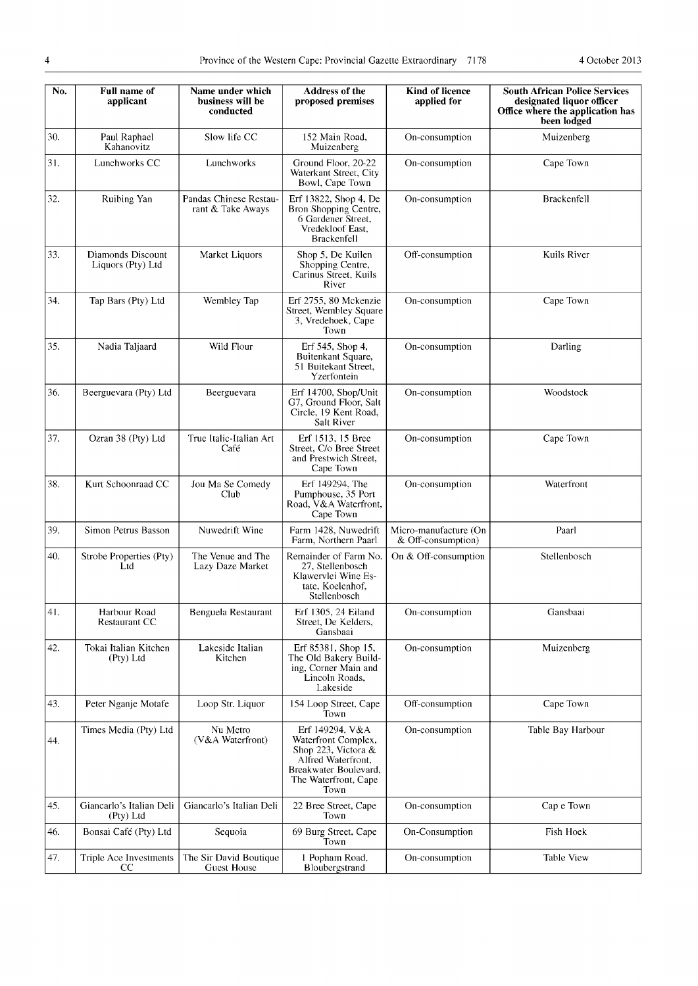| No. | <b>Full name of</b><br>applicant       | Name under which<br>business will be<br>conducted | Address of the<br>proposed premises                                                                                                          | Kind of licence<br>applied for              | <b>South African Police Services</b><br>designated liquor officer<br>Office where the application has<br>been lodged |
|-----|----------------------------------------|---------------------------------------------------|----------------------------------------------------------------------------------------------------------------------------------------------|---------------------------------------------|----------------------------------------------------------------------------------------------------------------------|
| 30. | Paul Raphael<br>Kahanovitz             | Slow life CC                                      | 152 Main Road,<br>Muizenberg                                                                                                                 | On-consumption                              | Muizenberg                                                                                                           |
| 31. | Lunchworks CC                          | Lunchworks                                        | Ground Floor, 20-22<br>Waterkant Street, City<br>Bowl, Cape Town                                                                             | On-consumption                              | Cape Town                                                                                                            |
| 32. | Ruibing Yan                            | Pandas Chinese Restau-<br>rant & Take Aways       | Erf 13822, Shop 4, De<br>Bron Shopping Centre,<br>6 Gardener Street,<br>Vredekloof East,<br><b>Brackenfell</b>                               | On-consumption                              | <b>Brackenfell</b>                                                                                                   |
| 33. | Diamonds Discount<br>Liquors (Pty) Ltd | Market Liquors                                    | Shop 5, De Kuilen<br>Shopping Centre,<br>Carinus Street, Kuils<br>River                                                                      | Off-consumption                             | Kuils River                                                                                                          |
| 34. | Tap Bars (Pty) Ltd                     | Wembley Tap                                       | Erf 2755, 80 Mckenzie<br>Street, Wembley Square<br>3, Vredehoek, Cape<br>Town                                                                | On-consumption                              | Cape Town                                                                                                            |
| 35. | Nadia Taljaard                         | Wild Flour                                        | Erf 545, Shop 4,<br>Buitenkant Square,<br>51 Buitekant Street,<br>Yzerfontein                                                                | On-consumption                              | Darling                                                                                                              |
| 36. | Beerguevara (Pty) Ltd                  | Beerguevara                                       | Erf 14700, Shop/Unit<br>G7, Ground Floor, Salt<br>Circle, 19 Kent Road,<br>Salt River                                                        | On-consumption                              | Woodstock                                                                                                            |
| 37. | Ozran 38 (Pty) Ltd                     | True Italic-Italian Art<br>Café                   | Erf 1513, 15 Bree<br>Street, C/o Bree Street<br>and Prestwich Street,<br>Cape Town                                                           | On-consumption                              | Cape Town                                                                                                            |
| 38. | Kurt Schoonraad CC                     | Jou Ma Se Comedy<br>Club                          | Erf 149294. The<br>Pumphouse, 35 Port<br>Road, V&A Waterfront,<br>Cape Town                                                                  | On-consumption                              | Waterfront                                                                                                           |
| 39. | Simon Petrus Basson                    | Nuwedrift Wine                                    | Farm 1428, Nuwedrift<br>Farm, Northern Paarl                                                                                                 | Micro-manufacture (On<br>& Off-consumption) | Paarl                                                                                                                |
| 40. | Strobe Properties (Pty)<br>Ltd         | The Venue and The<br>Lazy Daze Market             | Remainder of Farm No.<br>27, Stellenbosch<br>Klawervlei Wine Es-<br>tate. Koelenhof.<br>Stellenbosch                                         | On & Off-consumption                        | Stellenbosch                                                                                                         |
| 41. | Harbour Road<br><b>Restaurant CC</b>   | Benguela Restaurant                               | Erf 1305, 24 Eiland<br>Street, De Kelders,<br>Gansbaai                                                                                       | On-consumption                              | Gansbaai                                                                                                             |
| 42. | Tokai Italian Kitchen<br>(Pty) Ltd     | Lakeside Italian<br>Kitchen                       | Erf 85381, Shop 15,<br>The Old Bakery Build-<br>ing, Corner Main and<br>Lincoln Roads.<br>Lakeside                                           | On-consumption                              | Muizenberg                                                                                                           |
| 43. | Peter Nganje Motafe                    | Loop Str. Liquor                                  | 154 Loop Street, Cape<br>Town                                                                                                                | Off-consumption                             | Cape Town                                                                                                            |
| 44. | Times Media (Pty) Ltd                  | Nu Metro<br>(V&A Waterfront)                      | Erf 149294. V&A<br>Waterfront Complex,<br>Shop 223, Victora &<br>Alfred Waterfront,<br>Breakwater Boulevard,<br>The Waterfront, Cape<br>Town | On-consumption                              | Table Bay Harbour                                                                                                    |
| 45. | Giancarlo's Italian Deli<br>(Pty) Ltd  | Giancarlo's Italian Deli                          | 22 Bree Street, Cape<br>Town                                                                                                                 | On-consumption                              | Cap e Town                                                                                                           |
| 46. | Bonsai Café (Pty) Ltd                  | Sequoia                                           | 69 Burg Street, Cape<br>Town                                                                                                                 | On-Consumption                              | Fish Hoek                                                                                                            |
| 47. | Triple Ace Investments<br>CC           | The Sir David Boutique<br><b>Guest House</b>      | 1 Popham Road,<br>Bloubergstrand                                                                                                             | On-consumption                              | Table View                                                                                                           |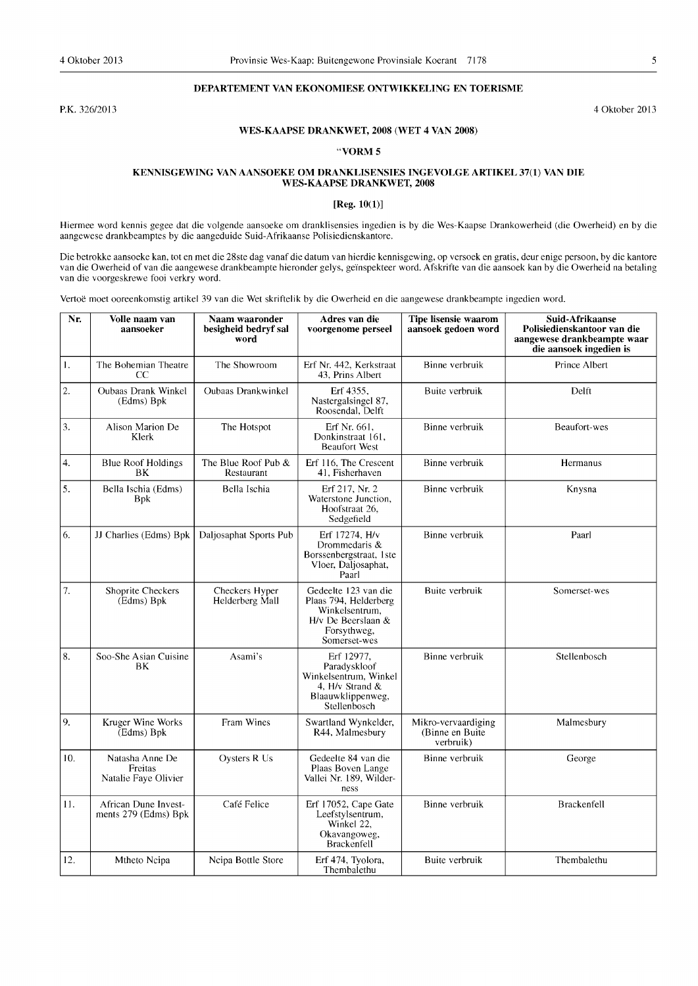# **DEPARTEMENT VAN EKONOMIESE ONTWIKKELING EN TOERISME**

P.K. 32612013 4 Oktober 2013

# **WES-KAAPSE DRANKWET, 2008 (WET 4 VAN 2008)**

#### **"VORMS**

## **KENNISGEWING VAN AANSOEKE OM DRANKLISENSIES INGEVOLGE ARTIKEL 37(1) VAN DIE WES-KAAPSE DRANKWET, 2008**

# $[Reg. 10(1)]$

Hiermee word kennis gegee dat die volgende aansoeke om dranklisensies ingedien is by die Wes-Kaapse Drankowerheid (die Owerheid) en by die aangewese drankbeamptes by die aangeduide Suid-Afrikaanse Polisiedienskantore.

Die betrokke aansoeke kan. tot en met die 28ste dag vanaf die datum van hierdie kennisgewing, op versoek en gratis, deur enige persoon, by die kantore van die Owerheid of van die aangewese drankbeampte hieronder gelys, ge'inspekteer word. Afskrifte van die aansoek kan by die Owerheid na betaling van die voorgeskrewe fooi verkry word.

Vertoe moet ooreenkomstig artikel 39 van die Wet skriftelik by die Owerheid en die aangewese drankbeampte ingedien word.

| Nr.          | Volle naam van<br>aansoeker                         | Naam waaronder<br>besigheid bedryf sal<br>word | Adres van die<br>voorgenome perseel                                                                                  | Tipe lisensie waarom<br>aansoek gedoen word          | Suid-Afrikaanse<br>Polisiedienskantoor van die<br>aangewese drankbeampte waar<br>die aansoek ingedien is |
|--------------|-----------------------------------------------------|------------------------------------------------|----------------------------------------------------------------------------------------------------------------------|------------------------------------------------------|----------------------------------------------------------------------------------------------------------|
| 1.           | The Bohemian Theatre<br>CC                          | The Showroom                                   | Erf Nr. 442, Kerkstraat<br>43. Prins Albert                                                                          | Binne verbruik                                       | Prince Albert                                                                                            |
| $\vert$ 2.   | <b>Oubaas Drank Winkel</b><br>(Edms) Bpk            | Oubaas Drankwinkel                             | Erf 4355.<br>Nastergalsingel 87,<br>Roosendal, Delft                                                                 | Buite verbruik                                       | Delft                                                                                                    |
| 3.           | Alison Marion De<br>Klerk                           | The Hotspot                                    | Erf Nr. 661,<br>Donkinstraat 161.<br><b>Beaufort West</b>                                                            | Binne verbruik                                       | Beaufort-wes                                                                                             |
| $\mathbf{4}$ | <b>Blue Roof Holdings</b><br>BK                     | The Blue Roof Pub &<br>Restaurant              | Erf 116. The Crescent<br>41, Fisherhaven                                                                             | Binne verbruik                                       | Hermanus                                                                                                 |
| 5.           | Bella Ischia (Edms)<br><b>B</b> <sub>p</sub> k      | Bella Ischia                                   | Erf 217, Nr. 2<br>Waterstone Junction,<br>Hoofstraat 26,<br>Sedgefield                                               | Binne verbruik                                       | Knysna                                                                                                   |
| 6.           | JJ Charlies (Edms) Bpk                              | Daljosaphat Sports Pub                         | Erf 17274, H/v<br>Drommedaris &<br>Borssenbergstraat, 1ste<br>Vloer, Daljosaphat,<br>Paarl                           | Binne verbruik                                       | Paarl                                                                                                    |
| 7.           | Shoprite Checkers<br>(Edms) Bpk                     | Checkers Hyper<br>Helderberg Mall              | Gedeelte 123 van die<br>Plaas 794, Helderberg<br>Winkelsentrum.<br>H/v De Beerslaan &<br>Forsythweg,<br>Somerset-wes | Buite verbruik                                       | Somerset-wes                                                                                             |
| 8.           | Soo-She Asian Cuisine<br>BK                         | Asami's                                        | Erf 12977,<br>Paradyskloof<br>Winkelsentrum, Winkel<br>4, H/v Strand &<br>Blaauwklippenweg,<br>Stellenbosch          | Binne verbruik                                       | Stellenbosch                                                                                             |
| 9.           | Kruger Wine Works<br>(Edms) Bpk                     | Fram Wines                                     | Swartland Wynkelder,<br>R44, Malmesbury                                                                              | Mikro-vervaardiging<br>(Binne en Buite)<br>verbruik) | Malmesbury                                                                                               |
| 10.          | Natasha Anne De<br>Freitas<br>Natalie Faye Olivier  | Oysters R Us                                   | Gedeelte 84 van die<br>Plaas Boven Lange<br>Vallei Nr. 189, Wilder-<br>ness                                          | Binne verbruik                                       | George                                                                                                   |
| 11.          | <b>African Dune Invest-</b><br>ments 279 (Edms) Bpk | Café Felice                                    | Erf 17052, Cape Gate<br>Leefstylsentrum,<br>Winkel 22,<br>Okavangoweg,<br>Brackenfell                                | Binne verbruik                                       | <b>Brackenfell</b>                                                                                       |
| 12.          | Mtheto Ncipa                                        | Neipa Bottle Store                             | Erf 474, Tyolora,<br>Thembalethu                                                                                     | Buite verbruik                                       | Thembalethu                                                                                              |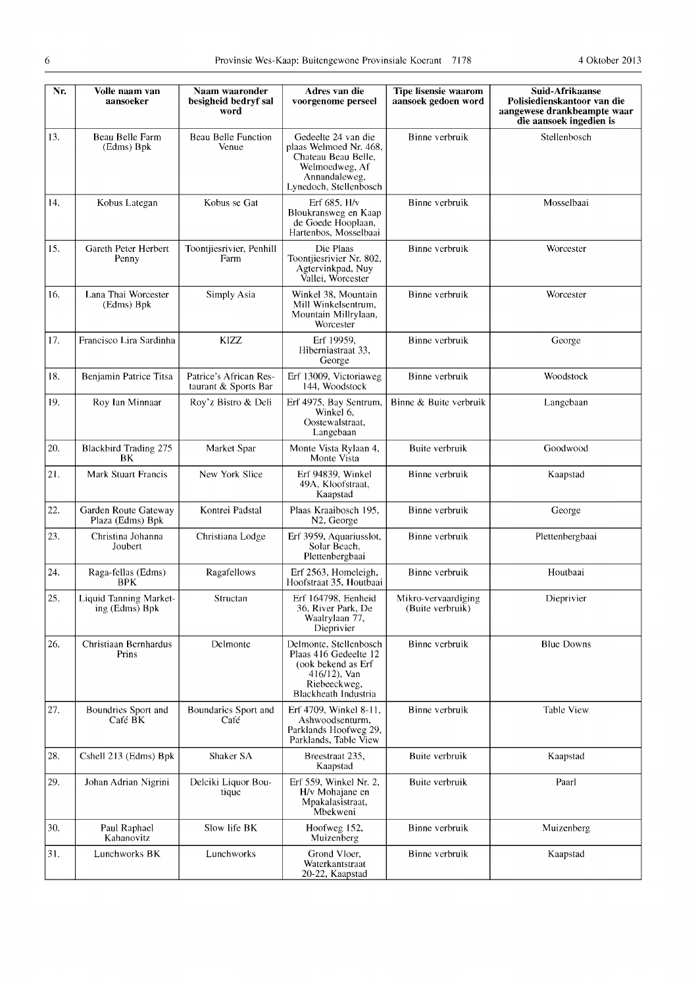| Nr. | Volle naam van<br>aansoeker              | Naam waaronder<br>besigheid bedryf sal<br>word | Adres van die<br>voorgenome perseel                                                                                               | Tipe lisensie waarom<br>aansoek gedoen word | Suid-Afrikaanse<br>Polisiedienskantoor van die<br>aangewese drankbeampte waar<br>die aansoek ingedien is |
|-----|------------------------------------------|------------------------------------------------|-----------------------------------------------------------------------------------------------------------------------------------|---------------------------------------------|----------------------------------------------------------------------------------------------------------|
| 13. | Beau Belle Farm<br>(Edms) Bpk            | <b>Beau Belle Function</b><br>Venue            | Gedeelte 24 van die<br>plaas Welmoed Nr. 468,<br>Chateau Beau Belle,<br>Welmoedweg, Af<br>Annandaleweg,<br>Lynedoch, Stellenbosch | Binne verbruik                              | Stellenbosch                                                                                             |
| 14. | Kobus Lategan                            | Kobus se Gat                                   | Erf $685$ , H/v<br>Bloukransweg en Kaap<br>de Goede Hooplaan,<br>Hartenbos, Mosselbaai                                            | Binne verbruik                              | Mosselbaai                                                                                               |
| 15. | Gareth Peter Herbert<br>Penny            | Toontjiesrivier, Penhill<br>Farm               | Die Plaas<br>Toontjiesrivier Nr. 802,<br>Agtervinkpad, Nuy<br>Vallei, Worcester                                                   | Binne verbruik                              | Worcester                                                                                                |
| 16. | Lana Thai Worcester<br>(Edms) Bpk        | Simply Asia                                    | Winkel 38, Mountain<br>Mill Winkelsentrum,<br>Mountain Millrylaan,<br>Worcester                                                   | Binne verbruik                              | Worcester                                                                                                |
| 17. | Francisco Lira Sardinha                  | <b>KIZZ</b>                                    | Erf 19959,<br>Hiberniastraat 33,<br>George                                                                                        | Binne verbruik                              | George                                                                                                   |
| 18. | Benjamin Patrice Titsa                   | Patrice's African Res-<br>taurant & Sports Bar | Erf 13009, Victoriaweg<br>144. Woodstock                                                                                          | Binne verbruik                              | Woodstock                                                                                                |
| 19. | Roy Ian Minnaar                          | Roy'z Bistro & Deli                            | Erf 4975, Bay Sentrum,<br>Winkel 6.<br>Oostewalstraat,<br>Langebaan                                                               | Binne & Buite verbruik                      | Langebaan                                                                                                |
| 20. | <b>Blackbird Trading 275</b><br>BK       | Market Spar                                    | Monte Vista Rylaan 4,<br>Monte Vista                                                                                              | Buite verbruik                              | Goodwood                                                                                                 |
| 21. | Mark Stuart Francis                      | New York Slice                                 | Erf 94839, Winkel<br>49A, Kloofstraat,<br>Kaapstad                                                                                | Binne verbruik                              | Kaapstad                                                                                                 |
| 22. | Garden Route Gateway<br>Plaza (Edms) Bpk | Kontrei Padstal                                | Plaas Kraaibosch 195,<br>N <sub>2</sub> , George                                                                                  | Binne verbruik                              | George                                                                                                   |
| 23. | Christina Johanna<br>Joubert             | Christiana Lodge                               | Erf 3959, Aquariusslot,<br>Solar Beach,<br>Plettenbergbaai                                                                        | Binne verbruik                              | Plettenbergbaai                                                                                          |
| 24. | Raga-fellas (Edms)<br><b>BPK</b>         | Ragafellows                                    | Erf 2563, Homeleigh,<br>Hoofstraat 35, Houtbaai                                                                                   | Binne verbruik                              | Houtbaai                                                                                                 |
| 25. | Liquid Tanning Market-<br>ing (Edms) Bpk | Structan                                       | Erf 164798, Eenheid<br>36, River Park, De<br>Waalrylaan 77,<br>Dieprivier                                                         | Mikro-vervaardiging<br>(Buite verbruik)     | Dieprivier                                                                                               |
| 26. | Christiaan Bernhardus<br>Prins           | Delmonte                                       | Delmonte, Stellenbosch<br>Plaas 416 Gedeelte 12<br>(ook bekend as Erf<br>$416/12$ ), Van<br>Riebeeckweg,<br>Blackheath Industria  | Binne verbruik                              | <b>Blue Downs</b>                                                                                        |
| 27. | Boundries Sport and<br>Café BK           | Boundaries Sport and<br>Café                   | Erf 4709, Winkel 8-11,<br>Ashwoodsenturm.<br>Parklands Hoofweg 29,<br>Parklands, Table View                                       | Binne verbruik                              | <b>Table View</b>                                                                                        |
| 28. | Cshell 213 (Edms) Bpk                    | Shaker SA                                      | Breestraat 235.<br>Kaapstad                                                                                                       | Buite verbruik                              | Kaapstad                                                                                                 |
| 29. | Johan Adrian Nigrini                     | Delciki Liquor Bou-<br>tique                   | Erf 559, Winkel Nr. 2,<br>H/v Mohajane en<br>Mpakalasistraat,<br>Mbekweni                                                         | Buite verbruik                              | Paarl                                                                                                    |
| 30. | Paul Raphael<br>Kahanovitz               | Slow life BK                                   | Hoofweg 152,<br>Muizenberg                                                                                                        | Binne verbruik                              | Muizenberg                                                                                               |
| 31. | Lunchworks BK                            | Lunchworks                                     | Grond Vloer,<br>Waterkantstraat<br>20-22, Kaapstad                                                                                | Binne verbruik                              | Kaapstad                                                                                                 |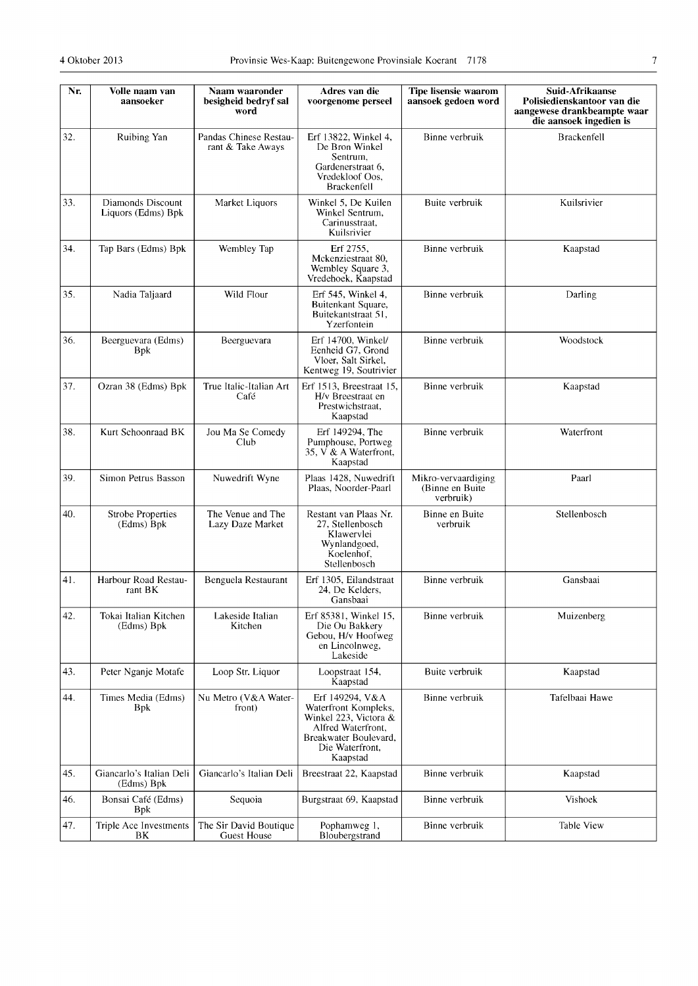| Nr. | Volle naam van<br>aansoeker             | Naam waaronder<br>besigheid bedryf sal<br>word | Adres van die<br>voorgenome perseel                                                                                                            | <b>Tipe lisensie waarom</b><br>aansoek gedoen word   | Suid-Afrikaanse<br>Polisiedienskantoor van die<br>aangewese drankbeampte waar<br>die aansoek ingedien is |
|-----|-----------------------------------------|------------------------------------------------|------------------------------------------------------------------------------------------------------------------------------------------------|------------------------------------------------------|----------------------------------------------------------------------------------------------------------|
| 32. | Ruibing Yan                             | Pandas Chinese Restau-<br>rant & Take Aways    | Erf 13822, Winkel 4,<br>De Bron Winkel<br>Sentrum,<br>Gardenerstraat 6,<br>Vredekloof Oos,<br><b>Brackenfell</b>                               | Binne verbruik                                       | <b>Brackenfell</b>                                                                                       |
| 33. | Diamonds Discount<br>Liquors (Edms) Bpk | Market Liquors                                 | Winkel 5, De Kuilen<br>Winkel Sentrum,<br>Carinusstraat.<br>Kuilsrivier                                                                        | Buite verbruik                                       | Kuilsrivier                                                                                              |
| 34. | Tap Bars (Edms) Bpk                     | Wembley Tap                                    | Erf 2755.<br>Mckenziestraat 80,<br>Wembley Square 3,<br>Vredehoek, Kaapstad                                                                    | Binne verbruik                                       | Kaapstad                                                                                                 |
| 35. | Nadia Taljaard                          | Wild Flour                                     | Erf 545, Winkel 4,<br>Buitenkant Square,<br>Buitekantstraat 51,<br>Yzerfontein                                                                 | Binne verbruik                                       | Darling                                                                                                  |
| 36. | Beerguevara (Edms)<br><b>B</b> pk       | Beerguevara                                    | Erf 14700, Winkel/<br>Eenheid G7, Grond<br>Vloer, Salt Sirkel,<br>Kentweg 19, Soutrivier                                                       | Binne verbruik                                       | Woodstock                                                                                                |
| 37. | Ozran 38 (Edms) Bpk                     | True Italic-Italian Art<br>Café                | Erf 1513, Breestraat 15,<br>H/v Breestraat en<br>Prestwichstraat,<br>Kaapstad                                                                  | Binne verbruik                                       | Kaapstad                                                                                                 |
| 38. | Kurt Schoonraad BK                      | Jou Ma Se Comedy<br>Club                       | Erf 149294, The<br>Pumphouse, Portweg<br>35, V & A Waterfront,<br>Kaapstad                                                                     | Binne verbruik                                       | Waterfront                                                                                               |
| 39. | Simon Petrus Basson                     | Nuwedrift Wyne                                 | Plaas 1428, Nuwedrift<br>Plaas, Noorder-Paarl                                                                                                  | Mikro-vervaardiging<br>(Binne en Buite)<br>verbruik) | Paarl                                                                                                    |
| 40. | <b>Strobe Properties</b><br>(Edms) Bpk  | The Venue and The<br>Lazy Daze Market          | Restant van Plaas Nr.<br>27. Stellenbosch<br>Klawervlei<br>Wynlandgoed,<br>Koelenhof,<br>Stellenbosch                                          | Binne en Buite<br>verbruik                           | Stellenbosch                                                                                             |
| 41. | Harbour Road Restau-<br>rant BK         | Benguela Restaurant                            | Erf 1305, Eilandstraat<br>24, De Kelders,<br>Gansbaai                                                                                          | Binne verbruik                                       | Gansbaai                                                                                                 |
| 42. | Tokai Italian Kitchen<br>(Edms) Bpk     | Lakeside Italian<br>Kitchen                    | Erf 85381, Winkel 15,<br>Die Ou Bakkery<br>Gebou, H/v Hoofweg<br>en Lincolnweg,<br>Lakeside                                                    | Binne verbruik                                       | Muizenberg                                                                                               |
| 43. | Peter Nganje Motafe                     | Loop Str. Liquor                               | Loopstraat 154,<br>Kaapstad                                                                                                                    | Buite verbruik                                       | Kaapstad                                                                                                 |
| 44. | Times Media (Edms)<br><b>Bpk</b>        | Nu Metro (V&A Water-<br>front)                 | Erf 149294, V&A<br>Waterfront Kompleks,<br>Winkel 223, Victora &<br>Alfred Waterfront,<br>Breakwater Boulevard,<br>Die Waterfront.<br>Kaapstad | Binne verbruik                                       | Tafelbaai Hawe                                                                                           |
| 45. | Giancarlo's Italian Deli<br>(Edms) Bpk  | Giancarlo's Italian Deli                       | Breestraat 22, Kaapstad                                                                                                                        | Binne verbruik                                       | Kaapstad                                                                                                 |
| 46. | Bonsai Café (Edms)<br><b>Bpk</b>        | Sequoia                                        | Burgstraat 69, Kaapstad                                                                                                                        | Binne verbruik                                       | Vishoek                                                                                                  |
| 47. | Triple Ace Investments<br>BΚ            | The Sir David Boutique<br><b>Guest House</b>   | Pophamweg 1,<br>Bloubergstrand                                                                                                                 | Binne verbruik                                       | <b>Table View</b>                                                                                        |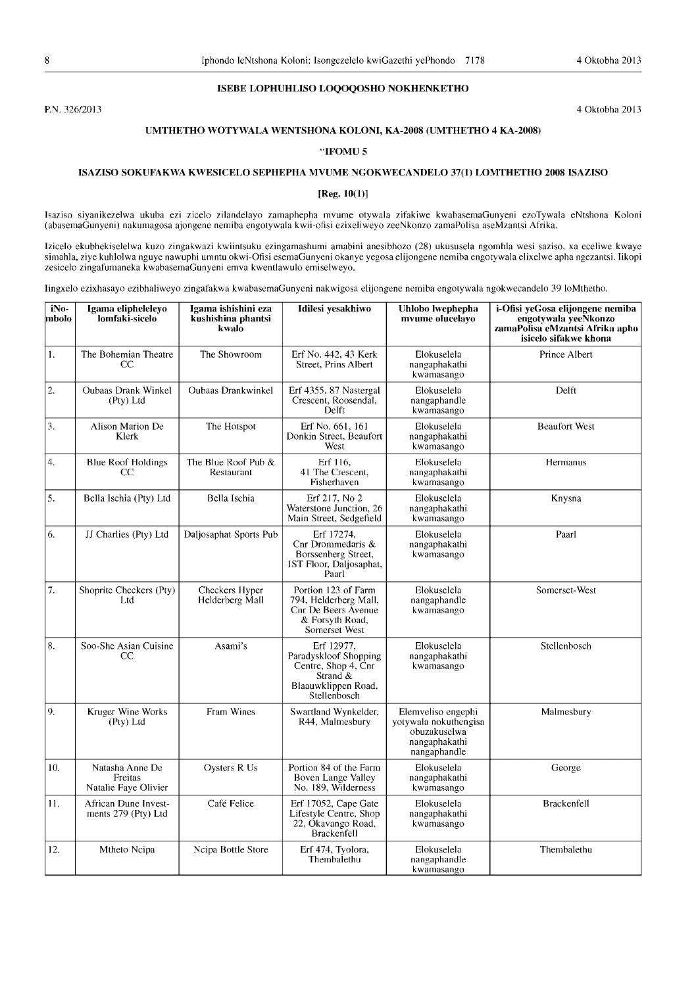# ISEBE LOPHUHLISO LOQOQOSHO NOKHENKETHO

P.N. 32612013 4 Oktobha 2013

# UMTHETHO WOTYWALA WENTSHONA KOLONI, KA-2008 (UMTHETHO 4 KA-2008)

#### "IFOMU 5

# ISAZISO SOKUFAKWA KWESICELO SEPHEPHA MVUME NGOKWECANDELO 37(1) LOMTHETHO 2008 ISAZISO

#### [Reg. 10(1)]

Isaziso siyanikezelwa ukuba ezi zicelo zilandelayo zamaphepha mvume otywala zifakiwe kwabasemaGunyeni ezoTywala eNtshona Koloni (abasemaGunyeni) nakumagosa ajongene nemiba engotywala kwii-ofisi ezixeliweyo zeeNkonzo zamaPolisa aseMzantsi Afrika.

Izicelo ekubhekiselelwa kuzo zingakwazi kwiintsuku ezingamashumi amabini anesibhozo (28) ukususela ngomhla wesi saziso, xa eceliwe kwaye simahla, ziye kuhlolwa nguye nawuphi umntu okwi-Ofisi esemaGunyeni okanye yegosa elijongene nemiba engotywala elixelwe apha ngezantsi. Iikopi zesicelo zingafumaneka kwabasemaGunyeni emva kwentlawulo emiselweyo.

Iingxelo ezixhasayo ezibhaliweyo zingafakwa kwabasemaGunyeni nakwigosa elijongene nemiba engotywala ngokwecandelo 39 loMthetho.

| iNo-<br>mbolo | Igama elipheleleyo<br>lomfaki-sicelo               | Igama ishishini eza<br>kushishina phantsi<br>kwalo | Idilesi yesakhiwo                                                                                              | Uhlobo lwephepha<br>mvume olucelavo                                                          | i-Ofisi yeGosa elijongene nemiba<br>engotywala yeeNkonzo<br>zamaPolisa eMzantsi Afrika apho<br>isicelo sifakwe khona |
|---------------|----------------------------------------------------|----------------------------------------------------|----------------------------------------------------------------------------------------------------------------|----------------------------------------------------------------------------------------------|----------------------------------------------------------------------------------------------------------------------|
| 1.            | The Bohemian Theatre<br>CC                         | The Showroom                                       | Erf No. 442, 43 Kerk<br>Street, Prins Albert                                                                   | Elokuselela<br>nangaphakathi<br>kwamasango                                                   | Prince Albert                                                                                                        |
| 2.            | <b>Oubaas Drank Winkel</b><br>(Pty) Ltd            | Oubaas Drankwinkel                                 | Erf 4355, 87 Nastergal<br>Crescent, Roosendal,<br>Delft                                                        | Elokuselela<br>nangaphandle<br>kwamasango                                                    | Delft                                                                                                                |
| 3.            | Alison Marion De<br>Klerk                          | The Hotspot                                        | Erf No. 661, 161<br>Donkin Street, Beaufort<br>West                                                            | Elokuselela<br>nangaphakathi<br>kwamasango                                                   | <b>Beaufort West</b>                                                                                                 |
| 4.            | <b>Blue Roof Holdings</b><br>CC                    | The Blue Roof Pub &<br>Restaurant                  | Erf 116.<br>41 The Crescent.<br>Fisherhaven                                                                    | Elokuselela<br>nangaphakathi<br>kwamasango                                                   | Hermanus                                                                                                             |
| 5.            | Bella Ischia (Pty) Ltd                             | Bella Ischia                                       | Erf 217, No 2<br>Waterstone Junction, 26<br>Main Street, Sedgefield                                            | Elokuselela<br>nangaphakathi<br>kwamasango                                                   | Knysna                                                                                                               |
| 6.            | JJ Charlies (Pty) Ltd                              | Daljosaphat Sports Pub                             | Erf 17274,<br>Cnr Drommedaris &<br>Borssenberg Street,<br>1ST Floor, Daljosaphat,<br>Paarl                     | Elokuselela<br>nangaphakathi<br>kwamasango                                                   | Paarl                                                                                                                |
| 7.            | Shoprite Checkers (Pty)<br>Ltd                     | Checkers Hyper<br>Helderberg Mall                  | Portion 123 of Farm<br>794, Helderberg Mall,<br>Cnr De Beers Avenue<br>& Forsyth Road,<br>Somerset West        | Elokuselela<br>nangaphandle<br>kwamasango                                                    | Somerset-West                                                                                                        |
| 8.            | Soo-She Asian Cuisine<br>CC                        | Asami's                                            | Erf 12977,<br>Paradyskloof Shopping<br>Centre, Shop 4, Cnr.<br>Strand &<br>Blaauwklippen Road,<br>Stellenbosch | Elokuselela<br>nangaphakathi<br>kwamasango                                                   | Stellenbosch                                                                                                         |
| 9.            | Kruger Wine Works<br>(Pty) Ltd                     | Fram Wines                                         | Swartland Wynkelder,<br>R44, Malmesbury                                                                        | Elemveliso engephi<br>yotywala nokuthengisa<br>obuzakuselwa<br>nangaphakathi<br>nangaphandle | Malmesbury                                                                                                           |
| 10.           | Natasha Anne De<br>Freitas<br>Natalie Faye Olivier | Oysters R Us                                       | Portion 84 of the Farm<br>Boven Lange Valley<br>No. 189, Wilderness                                            | Elokuselela<br>nangaphakathi<br>kwamasango                                                   | George                                                                                                               |
| 11.           | African Dune Invest-<br>ments 279 (Pty) Ltd        | Café Felice                                        | Erf 17052, Cape Gate<br>Lifestyle Centre, Shop<br>22, Okavango Road,<br><b>Brackenfell</b>                     | Elokuselela<br>nangaphakathi<br>kwamasango                                                   | <b>Brackenfell</b>                                                                                                   |
| 12.           | Mtheto Ncipa                                       | Ncipa Bottle Store                                 | Erf 474, Tyolora,<br>Thembalethu                                                                               | Elokuselela<br>nangaphandle<br>kwamasango                                                    | Thembalethu                                                                                                          |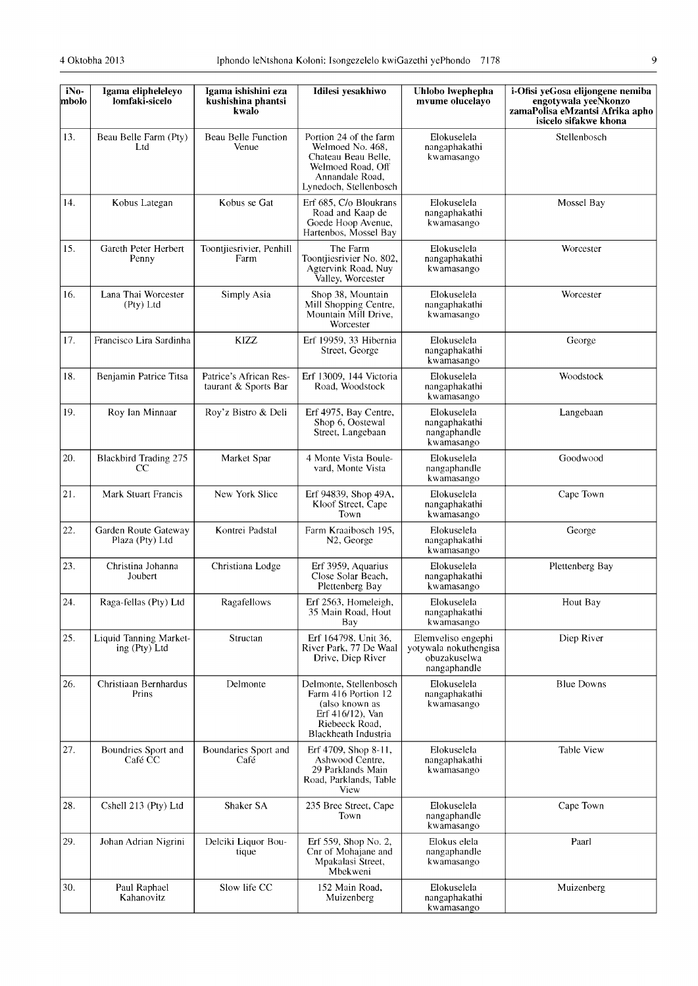| iNo-<br>mbolo | Igama elipheleleyo<br>lomfaki-sicelo    | Igama ishishini eza<br>kushishina phantsi<br>kwalo | Idilesi yesakhiwo                                                                                                                   | Uhlobo lwephepha<br>mvume olucelayo                                         | i-Ofisi yeGosa elijongene nemiba<br>engotywala yeeNkonzo<br>zamaPolisa eMzantsi Afrika apho<br>isicelo sifakwe khona |
|---------------|-----------------------------------------|----------------------------------------------------|-------------------------------------------------------------------------------------------------------------------------------------|-----------------------------------------------------------------------------|----------------------------------------------------------------------------------------------------------------------|
| 13.           | Beau Belle Farm (Pty)<br>Ltd            | <b>Beau Belle Function</b><br>Venue                | Portion 24 of the farm<br>Welmoed No. 468,<br>Chateau Beau Belle,<br>Welmoed Road, Off<br>Annandale Road,<br>Lynedoch, Stellenbosch | Elokuselela<br>nangaphakathi<br>kwamasango                                  | Stellenbosch                                                                                                         |
| 14,           | Kobus Lategan                           | Kobus se Gat                                       | Erf 685, C/o Bloukrans<br>Road and Kaap de<br>Goede Hoop Avenue,<br>Hartenbos, Mossel Bay                                           | Elokuselela<br>nangaphakathi<br>kwamasango                                  | Mossel Bay                                                                                                           |
| 15.           | Gareth Peter Herbert<br>Penny           | Toontjiesrivier, Penhill<br>Farm                   | The Farm<br>Toontjiesrivier No. 802,<br>Agtervink Road, Nuy<br>Valley, Worcester                                                    | Elokuselela<br>nangaphakathi<br>kwamasango                                  | Worcester                                                                                                            |
| 16.           | Lana Thai Worcester<br>(Pty) Ltd        | Simply Asia                                        | Shop 38, Mountain<br>Mill Shopping Centre,<br>Mountain Mill Drive.<br>Worcester                                                     | Elokuselela<br>nangaphakathi<br>kwamasango                                  | Worcester                                                                                                            |
| 17.           | Francisco Lira Sardinha                 | <b>KIZZ</b>                                        | Erf 19959, 33 Hibernia<br>Street, George                                                                                            | Elokuselela<br>nangaphakathi<br>kwamasango                                  | George                                                                                                               |
| 18.           | Benjamin Patrice Titsa                  | Patrice's African Res-<br>taurant & Sports Bar     | Erf 13009, 144 Victoria<br>Road, Woodstock                                                                                          | Elokuselela<br>nangaphakathi<br>kwamasango                                  | Woodstock                                                                                                            |
| 19.           | Roy Ian Minnaar                         | Roy'z Bistro & Deli                                | Erf 4975, Bay Centre,<br>Shop 6, Oostewal<br>Street, Langebaan                                                                      | Elokuselela<br>nangaphakathi<br>nangaphandle<br>kwamasango                  | Langebaan                                                                                                            |
| 20.           | <b>Blackbird Trading 275</b><br>CC      | Market Spar                                        | 4 Monte Vista Boule-<br>vard, Monte Vista                                                                                           | Elokuselela<br>nangaphandle<br>kwamasango                                   | Goodwood                                                                                                             |
| 21.           | Mark Stuart Francis                     | New York Slice                                     | Erf 94839, Shop 49A,<br>Kloof Street, Cape<br>Town                                                                                  | Elokuselela<br>nangaphakathi<br>kwamasango                                  | Cape Town                                                                                                            |
| 22.           | Garden Route Gateway<br>Plaza (Pty) Ltd | Kontrei Padstal                                    | Farm Kraaibosch 195,<br>N <sub>2</sub> , George                                                                                     | Elokuselela<br>nangaphakathi<br>kwamasango                                  | George                                                                                                               |
| 23.           | Christina Johanna<br>Joubert            | Christiana Lodge                                   | Erf 3959, Aquarius<br>Close Solar Beach,<br>Plettenberg Bay                                                                         | Elokuselela<br>nangaphakathi<br>kwamasango                                  | Plettenberg Bay                                                                                                      |
| 24.           | Raga-fellas (Pty) Ltd                   | Ragafellows                                        | Erf 2563, Homeleigh,<br>35 Main Road, Hout<br>Bay                                                                                   | Elokuselela<br>nangaphakathi<br>kwamasango                                  | Hout Bay                                                                                                             |
| 25.           | Liquid Tanning Market-<br>ing (Pty) Ltd | Structan                                           | Erf 164798, Unit 36,<br>River Park, 77 De Waal<br>Drive, Diep River                                                                 | Elemveliso engephi<br>yotywala nokuthengisa<br>obuzakuselwa<br>nangaphandle | Diep River                                                                                                           |
| 26.           | Christiaan Bernhardus<br>Prins          | Delmonte                                           | Delmonte, Stellenbosch<br>Farm 416 Portion 12<br>(also known as<br>Erf $416/12$ ), Van<br>Riebeeck Road,<br>Blackheath Industria    | Elokuselela<br>nangaphakathi<br>kwamasango                                  | <b>Blue Downs</b>                                                                                                    |
| 27.           | Boundries Sport and<br>Café CC          | Boundaries Sport and<br>Café                       | Erf 4709, Shop 8-11,<br>Ashwood Centre,<br>29 Parklands Main<br>Road, Parklands, Table<br>View                                      | Elokuselela<br>nangaphakathi<br>kwamasango                                  | <b>Table View</b>                                                                                                    |
| 28.           | Cshell 213 (Pty) Ltd                    | Shaker SA                                          | 235 Bree Street, Cape<br>Town                                                                                                       | Elokuselela<br>nangaphandle<br>kwamasango                                   | Cape Town                                                                                                            |
| 29.           | Johan Adrian Nigrini                    | Delciki Liquor Bou-<br>tique                       | Erf 559, Shop No. 2,<br>Cnr of Mohajane and<br>Mpakalasi Street,<br>Mbekweni                                                        | Elokus elela<br>nangaphandle<br>kwamasango                                  | Paarl                                                                                                                |
| 30.           | Paul Raphael<br>Kahanovitz              | Slow life CC                                       | 152 Main Road,<br>Muizenberg                                                                                                        | Elokuselela<br>nangaphakathi<br>kwamasango                                  | Muizenberg                                                                                                           |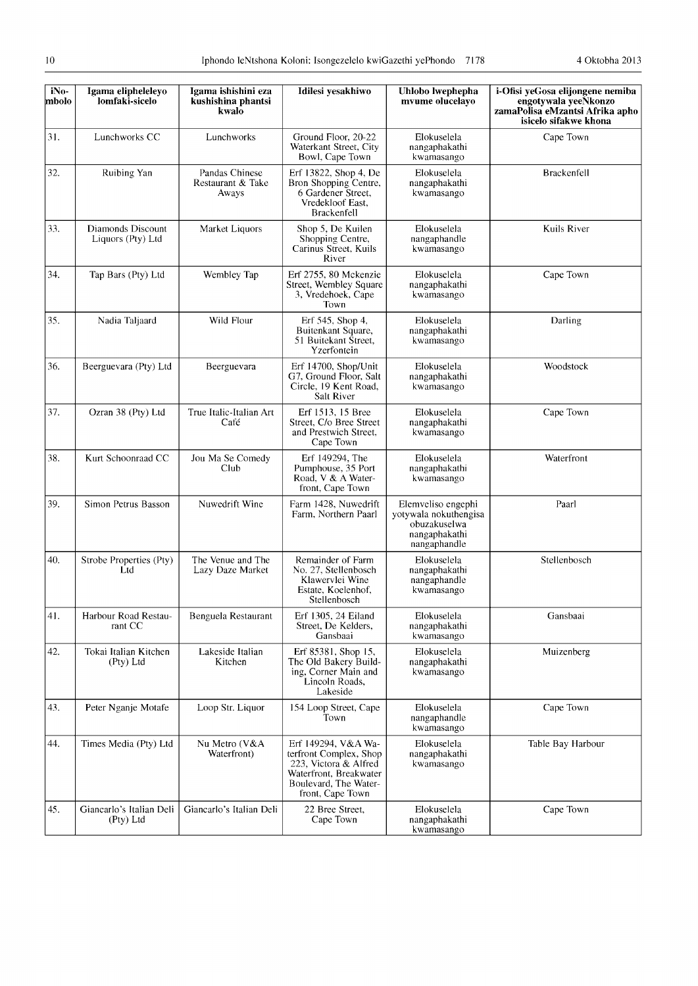| iNo-<br>mbolo | Igama elipheleleyo<br>lomfaki-sicelo     | Igama ishishini eza<br>kushishina phantsi<br>kwalo | Idilesi yesakhiwo                                                                                                                             | Uhlobo lwephepha<br>mvume olucelayo                                                          | i-Ofisi yeGosa elijongene nemiba<br>engotywala yeeNkonzo<br>zamaPolisa eMzantsi Afrika apho<br>isicelo sifakwe khona |
|---------------|------------------------------------------|----------------------------------------------------|-----------------------------------------------------------------------------------------------------------------------------------------------|----------------------------------------------------------------------------------------------|----------------------------------------------------------------------------------------------------------------------|
| 31.           | Lunchworks CC                            | Lunchworks                                         | Ground Floor, 20-22<br>Waterkant Street, City<br>Bowl, Cape Town                                                                              | Elokuselela<br>nangaphakathi<br>kwamasango                                                   | Cape Town                                                                                                            |
| 32.           | Ruibing Yan                              | Pandas Chinese<br>Restaurant & Take<br>Aways       | Erf 13822, Shop 4, De<br>Bron Shopping Centre,<br>6 Gardener Street,<br>Vredekloof East,<br>Brackenfell                                       | Elokuselela<br>nangaphakathi<br>kwamasango                                                   | <b>Brackenfell</b>                                                                                                   |
| 33.           | Diamonds Discount<br>Liquors (Pty) Ltd   | Market Liquors                                     | Shop 5, De Kuilen<br>Shopping Centre,<br>Carinus Street, Kuils<br>River                                                                       | Elokuselela<br>nangaphandle<br>kwamasango                                                    | Kuils River                                                                                                          |
| 34.           | Tap Bars (Pty) Ltd                       | Wembley Tap                                        | Erf 2755, 80 Mckenzie<br>Street, Wembley Square<br>3, Vredehoek, Cape<br>Town                                                                 | Elokuselela<br>nangaphakathi<br>kwamasango                                                   | Cape Town                                                                                                            |
| 35.           | Nadia Taljaard                           | Wild Flour                                         | Erf 545, Shop 4,<br>Buitenkant Square,<br>51 Buitekant Street,<br>Yzerfontein                                                                 | Elokuselela<br>nangaphakathi<br>kwamasango                                                   | Darling                                                                                                              |
| 36.           | Beerguevara (Pty) Ltd                    | Beerguevara                                        | Erf 14700, Shop/Unit<br>G7, Ground Floor, Salt<br>Circle, 19 Kent Road,<br><b>Salt River</b>                                                  | Elokuselela<br>nangaphakathi<br>kwamasango                                                   | Woodstock                                                                                                            |
| 37.           | Ozran 38 (Pty) Ltd                       | True Italic-Italian Art<br>Café                    | Erf 1513, 15 Bree<br>Street, C/o Bree Street<br>and Prestwich Street,<br>Cape Town                                                            | Elokuselela<br>nangaphakathi<br>kwamasango                                                   | Cape Town                                                                                                            |
| 38.           | Kurt Schoonraad CC                       | Jou Ma Se Comedy<br>Club                           | Erf 149294, The<br>Pumphouse, 35 Port<br>Road, V & A Water-<br>front, Cape Town                                                               | Elokuselela<br>nangaphakathi<br>kwamasango                                                   | Waterfront                                                                                                           |
| 39.           | Simon Petrus Basson                      | Nuwedrift Wine                                     | Farm 1428, Nuwedrift<br>Farm, Northern Paarl                                                                                                  | Elemveliso engephi<br>yotywala nokuthengisa<br>obuzakuselwa<br>nangaphakathi<br>nangaphandle | Paarl                                                                                                                |
| 40.           | Strobe Properties (Pty)<br>Ltd           | The Venue and The<br>Lazy Daze Market              | Remainder of Farm<br>No. 27, Stellenbosch<br>Klawervlei Wine<br>Estate, Koelenhof,<br>Stellenbosch                                            | Elokuselela<br>nangaphakathi<br>nangaphandle<br>kwamasango                                   | Stellenbosch                                                                                                         |
| 41.           | Harbour Road Restau-<br>rant CC          | Benguela Restaurant                                | Erf 1305, 24 Eiland<br>Street, De Kelders,<br>Gansbaai                                                                                        | Elokuselela<br>nangaphakathi<br>kwamasango                                                   | Gansbaai                                                                                                             |
| 42.           | Tokai Italian Kitchen<br>$($ Pty $)$ Ltd | Lakeside Italian<br>Kitchen                        | Erf 85381, Shop 15,<br>The Old Bakery Build-<br>ing, Corner Main and<br>Lincoln Roads,<br>Lakeside                                            | Elokuselela<br>nangaphakathi<br>kwamasango                                                   | Muizenberg                                                                                                           |
| 43.           | Peter Nganje Motafe                      | Loop Str. Liquor                                   | 154 Loop Street, Cape<br>Town                                                                                                                 | Elokuselela<br>nangaphandle<br>kwamasango                                                    | Cape Town                                                                                                            |
| 44.           | Times Media (Pty) Ltd                    | Nu Metro (V&A<br>Waterfront)                       | Erf 149294, V&A Wa-<br>terfront Complex, Shop<br>223, Victora & Alfred<br>Waterfront, Breakwater<br>Boulevard, The Water-<br>front, Cape Town | Elokuselela<br>nangaphakathi<br>kwamasango                                                   | Table Bay Harbour                                                                                                    |
| 45.           | Giancarlo's Italian Deli<br>(Pty) Ltd    | Giancarlo's Italian Deli                           | 22 Bree Street,<br>Cape Town                                                                                                                  | Elokuselela<br>nangaphakathi<br>kwamasango                                                   | Cape Town                                                                                                            |